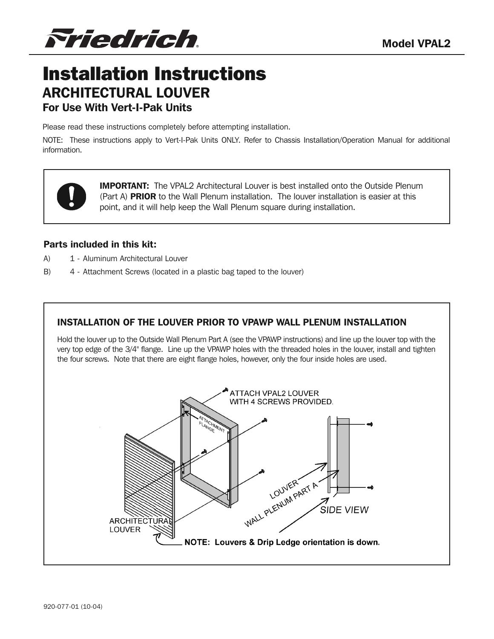*Friedrich*.

# Installation Instructions ARCHITECTURAL LOUVER For Use With Vert-I-Pak Units

Please read these instructions completely before attempting installation.

NOTE: These instructions apply to Vert-I-Pak Units ONLY. Refer to Chassis Installation/Operation Manual for additional information.

> IMPORTANT: The VPAL2 Architectural Louver is best installed onto the Outside Plenum (Part A) PRIOR to the Wall Plenum installation. The louver installation is easier at this point, and it will help keep the Wall Plenum square during installation.

#### Parts included in this kit:

- A) 1 Aluminum Architectural Louver
- B) 4 Attachment Screws (located in a plastic bag taped to the louver)

## INSTALLATION OF THE LOUVER PRIOR TO VPAWP WALL PLENUM INSTALLATION

Hold the louver up to the Outside Wall Plenum Part A (see the VPAWP instructions) and line up the louver top with the very top edge of the 3/4" flange. Line up the VPAWP holes with the threaded holes in the louver, install and tighten the four screws. Note that there are eight flange holes, however, only the four inside holes are used.